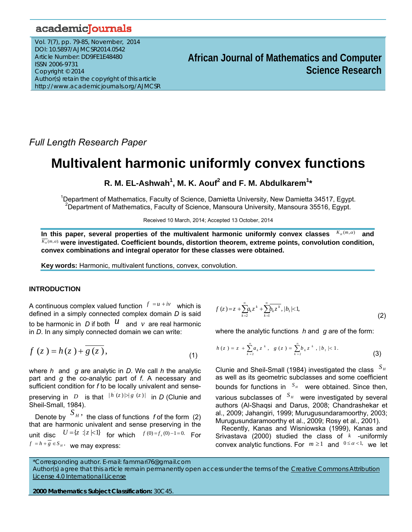# academicJournals

Vol. 7(7), pp. 79-85, November, 2014 DOI: 10.5897/AJMCSR2014.0542 Article Number: DD9FE1E48480 ISSN 2006-9731 Copyright © 2014 Author(s) retain the copyright of this article http://www.academicjournals.org/AJMCSR

# **African Journal of Mathematics and Computer Science Research**

*Full Length Research Paper* 

# **Multivalent harmonic uniformly convex functions**

R. M. EL-Ashwah<sup>1</sup>, M. K. Aouf<sup>2</sup> and F. M. Abdulkarem<sup>1</sup>\*

<sup>1</sup>Department of Mathematics, Faculty of Science, Damietta University, New Damietta 34517, Egypt.<br><sup>2</sup>Department of Mathematics, Faculty of Science, Managura University, Managura 35516, Favot. <sup>2</sup>Department of Mathematics, Faculty of Science, Mansoura University, Mansoura 35516, Egypt.

Received 10 March, 2014; Accepted 13 October, 2014

In this paper, several properties of the multivalent harmonic uniformly convex classes  $K_{\mu}(m,\alpha)$  and  $\frac{K_n(m,\alpha)}{M}$  were investigated. Coefficient bounds, distortion theorem, extreme points, convolution condition, **convex combinations and integral operator for these classes were obtained.** 

**Key words:** Harmonic, multivalent functions, convex, convolution.

# **INTRODUCTION**

A continuous complex valued function  $f = u + iv$  which is defined in a simply connected complex domain *D* is said to be harmonic in  $D$  if both  $\mathcal{U}$  and  $\nu$  are real harmonic in *D*. In any simply connected domain we can write:

$$
f(z) = h(z) + \overline{g(z)},
$$
\n(1)

where *h* and *g* are analytic in *D*. We call *h* the analytic part and *g* the co-analytic part of *f*. A necessary and sufficient condition for *f* to be locally univalent and sensepreserving in *D* is that  $|h(z)| \ge |g(z)|$  in *D* (Clunie and Sheil-Small, 1984).

Denote by  $\left\langle S_H, S_H \right\rangle$  the class of functions *f* of the form (2) that are harmonic univalent and sense preserving in the unit disc  $U = \{z : |z| \le 1\}$  for which  $f(0) = f_z(0) - 1 = 0$ . For  $f = h + \overline{g} \in S_H$ , we may express:

$$
f(z) = z + \sum_{k=2}^{\infty} a_k z^k + \sum_{k=1}^{\infty} b_k z^k, |b_1| < 1,
$$
 (2)

where the analytic functions *h* and *g* are of the form:

$$
h(z) = z + \sum_{k=2}^{\infty} a_k z^k, \quad g(z) = \sum_{k=2}^{\infty} b_k z^k, \quad |b_1| < 1.
$$
 (3)

Clunie and Sheil-Small (1984) investigated the class *<sup>H</sup> <sup>S</sup>* as well as its geometric subclasses and some coefficient bounds for functions in  $S_H$  were obtained. Since then, various subclasses of  $S_H$  were investigated by several authors (Al-Shaqsi and Darus, 2008; Chandrashekar et al., 2009; Jahangiri, 1999; Murugusundaramoorthy, 2003; Murugusundaramoorthy et al., 2009; Rosy et al., 2001).

Recently, Kanas and Wisniowska (1999), Kanas and Srivastava (2000) studied the class of *k* -uniformly convex analytic functions. For  $m \ge 1$  and  $0 \le \alpha < 1$ , we let

\*Corresponding author. E-mail: fammari76@gmail.com

Author(s) agree that this article remain permanently open access under the terms of the Creative Commons Attribution License 4.0 International License

**2000 Mathematics Subject Classification:** 30C45.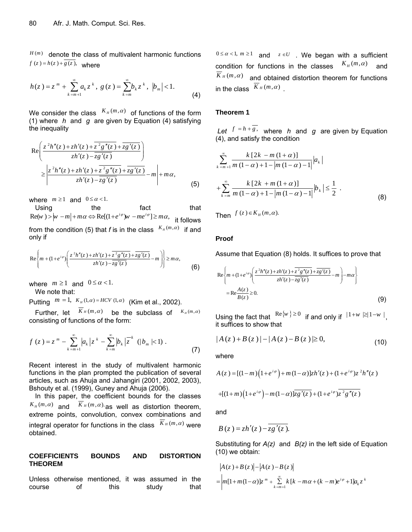$H(m)$  denote the class of multivalent harmonic functions  $f(z) = h(z) + \overline{g(z)}$ , where

$$
h(z) = zm + \sum_{k=m+1}^{\infty} a_k zk, g(z) = \sum_{k=m}^{\infty} b_k zk, |b_m| < 1.
$$
 (4)

We consider the class  $K_H(m, \alpha)$  of functions of the form (1) where *h* and *g* are given by Equation (4) satisfying the inequality

$$
\operatorname{Re}\left(\frac{z^{2}h''(z)+zh'(z)+\overline{z^{2}g''(z)}+\overline{zg'(z)}}{zh'(z)-\overline{zg'(z)}}\right)
$$
\n
$$
\geq \left|\frac{z^{2}h''(z)+zh'(z)+\overline{z^{2}g''(z)}+\overline{zg'(z)}}{zh'(z)-\overline{zg'(z)}}-m\right|+m\alpha,
$$
\n(5)

where  $m \ge 1$  and  $0 \le \alpha < 1$ .

Using the fact that  $\text{Re}(w) > |w - m| + m\alpha \Leftrightarrow \text{Re}[(1 + e^{i\varphi})w - me^{i\varphi}] \ge m\alpha$ , it follows from the condition (5) that *f* is in the class  $K_H(m,\alpha)$  if and only if

$$
\operatorname{Re}\left\{m+(1+e^{i\varphi})\left(\frac{z^{2}h''(z)+zh'(z)+\overline{z^{2}g''(z)}+\overline{zg'(z)}}{zh'(z)-\overline{zg'(z)}}-m\right)\right\}\geq m\alpha,
$$
\n(6)

where  $m \ge 1$  and  $0 \le \alpha < 1$ .

We note that:

Putting  $m = 1$ ,  $K_H(1, \alpha) = HCV(1, \alpha)$  (Kim et al., 2002).

Further, let  $\overline{K}_H(m,\alpha)$  be the subclass of  $K_H(m,\alpha)$ consisting of functions of the form:

$$
f(z) = z^{m} - \sum_{k=m+1}^{\infty} |a_{k}| z^{k} - \sum_{k=m}^{\infty} |b_{k}| \overline{z}^{k} \ (|b_{m}| < 1) . \tag{7}
$$

Recent interest in the study of multivalent harmonic functions in the plan prompted the publication of several articles, such as Ahuja and Jahangiri (2001, 2002, 2003), Bshouty et al. (1999), Guney and Ahuja (2006).

In this paper, the coefficient bounds for the classes  $K_H(m,\alpha)$  and  $\overline{K}_H(m,\alpha)$  as well as distortion theorem, extreme points, convolution, convex combinations and integral operator for functions in the class  $K_H(m,\alpha)$  were obtained.

# **COEFFICIENTS BOUNDS AND DISTORTION THEOREM**

Unless otherwise mentioned, it was assumed in the course of this study that  $0 \le \alpha < 1$ ,  $m \ge 1$  and  $z \in U$ . We began with a sufficient condition for functions in the classes  $K_H(m,\alpha)$  and  $K_H(m,\alpha)$  and obtained distortion theorem for functions in the class  $\overline{K}_H(m,\alpha)$ 

#### **Theorem 1**

*Let*  $f = h + g$ , where *h* and *q* are given by Equation (4), and satisfy the condition

$$
\sum_{k=m+1}^{\infty} \frac{k \left[2k - m\left(1 + \alpha\right)\right]}{m\left(1 - \alpha\right) + 1 - \left|m\left(1 - \alpha\right) - 1\right|} |a_k| + \sum_{k=m}^{\infty} \frac{k \left[2k + m\left(1 + \alpha\right)\right]}{m\left(1 - \alpha\right) + 1 - \left|m\left(1 - \alpha\right) - 1\right|} |b_k| \le \frac{1}{2} . \tag{8}
$$

Then  $f(z) \in K_H(m, \alpha)$ .

#### **Proof**

Assume that Equation (8) holds. It suffices to prove that

$$
\operatorname{Re}\left\{m+(1+e^{i\varphi})\left(\frac{z^{2}h''(z)+zh'(z)+\overline{z^{2}g''(z)}+\overline{zg'(z)}}{zh'(z)-\overline{zg'(z)}}-m\right)-m\alpha\right\}
$$
\n
$$
=\operatorname{Re}\frac{A(z)}{B(z)}\geq 0.\tag{9}
$$

Using the fact that  $\text{Re}\{w\} \ge 0$  if and only if  $|1+w| \ge |1-w|$ . it suffices to show that

$$
|A(z) + B(z)| - |A(z) - B(z)| \ge 0,
$$
\n(10)

where

$$
A(z) = [(1-m)(1+e^{i\varphi}) + m(1-\alpha)]zh'(z) + (1+e^{i\varphi})z^2h''(z)
$$
  
+[(1+m)(1+e^{i\varphi}) - m(1-\alpha)] $\overline{zg'(z)}$  + (1+e^{i\varphi}) $\overline{z^2g''(z)}$ 

and

$$
B(z) = zh'(z) - \overline{zg'(z)}.
$$

Substituting for *A(z)* and *B(z)* in the left side of Equation (10) we obtain:

$$
|A(z) + B(z)| - |A(z) - B(z)|
$$
  
=  $|m[1 + m(1 - \alpha)]z^{m} + \sum_{k=m+1}^{\infty} k[k - m\alpha + (k - m)e^{i\varphi} + 1]a_{k}z^{k}$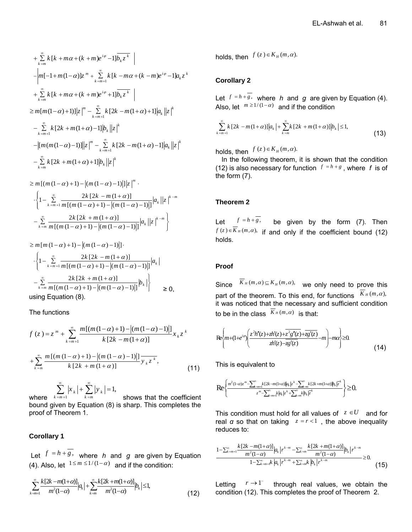$$
\sum_{k=m}^{\infty} k[k + m\alpha + (k+m)e^{i\varphi} - 1] \overline{b_k z^k} \Big|
$$
  
\n
$$
- \Big| m[-1 + m(1-\alpha)] z^m + \sum_{k=m+1}^{\infty} k[k - m\alpha + (k-m)e^{i\varphi} - 1] a_k z^k
$$
  
\n
$$
+ \sum_{k=m}^{\infty} k[k + m\alpha + (k+m)e^{i\varphi} + 1] \overline{b_k z^k} \Big|
$$
  
\n
$$
\geq m[m(1-\alpha)+1)] |z|^m - \sum_{k=m+1}^{\infty} k[2k - m(1+\alpha)+1] |a_k| |z|^k
$$
  
\n
$$
- \sum_{k=m+1}^{\infty} k[2k + m(1+\alpha)-1] |z|^m - \sum_{k=m+1}^{\infty} k[2k - m(1+\alpha)-1] |a_k| |z|^k
$$
  
\n
$$
- \sum_{k=m}^{\infty} k[2k + m(1+\alpha)+1] |b_k| |z|^k
$$

$$
\geq m \left[ (m (1 - \alpha) + 1) - |(m (1 - \alpha) - 1)| \right] |z|^{m}.
$$
  

$$
\left\{ 1 - \sum_{k=m+1}^{\infty} \frac{2k [2k - m (1 + \alpha)]}{m [(m (1 - \alpha) + 1) - |(m (1 - \alpha) - 1)|]} |a_{k}| |z|^{k-m} - \sum_{k=m}^{\infty} \frac{2k [2k + m (1 + \alpha)]}{m [(m (1 - \alpha) + 1) - |(m (1 - \alpha) - 1)|]} |a_{k}| |z|^{k-m} \right\}
$$

 $\geq m \left[ m \left( 1 - \alpha \right) + 1 \right) - \left| \left( m \left( 1 - \alpha \right) - 1 \right) \right| \right]$ 

$$
\cdot \left\{ 1 - \sum_{k=m+1}^{\infty} \frac{2k [2k - m(1+\alpha)]}{m [(m(1-\alpha)+1) - |(m(1-\alpha)-1)|]} |a_k| - \sum_{k=m}^{\infty} \frac{2k [2k + m(1+\alpha)]}{m [(m(1-\alpha)+1) - |(m(1-\alpha)-1)|]} |b_k| \right\} > 0,
$$
  
using Equation (8).

The functions

$$
f(z) = z^{m} + \sum_{k=m+1}^{\infty} \frac{m[(m(1-\alpha)+1)-|(m(1-\alpha)-1)|]}{k[2k-m(1+\alpha)]} x_{k} z^{k}
$$

$$
+ \sum_{k=m}^{\infty} \frac{m[(m(1-\alpha)+1)-|(m(1-\alpha)-1)|]}{k[2k+m(1+\alpha)]} y_{k} z^{k}, \qquad (11)
$$

where  $k = m + 1$  $\sum_{k=m+1} |x_k| + \sum_{k=m} |y_k| = 1,$  $\sum_{k=1}^{\infty} |x_k| + \sum_{k=1}^{\infty} |y_k|$  $\sum_{k=m+1} |x_k| + \sum_{k=m} |y_k| =$  shows that the coefficient bound given by Equation (8) is sharp. This completes the proof of Theorem 1.

# **Corollary 1**

Let  $f = h + g$ , where *h* and *g* are given by Equation (4). Also, let  $1 \le m \le 1/(1-\alpha)$  and if the condition:

$$
\sum_{k=m+1}^{\infty} \frac{k[2k-m(1+\alpha)]}{m^2(1-\alpha)} |a_k| + \sum_{k=m}^{\infty} \frac{k[2k+m(1+\alpha)]}{m^2(1-\alpha)} |b_k| \le 1,
$$
\n(12)

holds, then  $f(z) \in K_H(m, \alpha)$ .

# **Corollary 2**

Let  $f = h + g$ , where *h* and *g* are given by Equation (4). Also, let  $m \ge 1/(1-\alpha)$  and if the condition

$$
\sum_{k=m+1}^{\infty} k \left[ 2k - m(1+\alpha) \right] \left| a_k \right| + \sum_{k=m}^{\infty} k \left[ 2k + m(1+\alpha) \right] \left| b_k \right| \leq 1,
$$
\n(13)

holds, then  $f(z) \in K_H(m, \alpha)$ .

In the following theorem, it is shown that the condition (12) is also necessary for function  $f = h + g$ , where *f* is of the form (7).

# **Theorem 2**

Let  $f = h + g$ , be given by the form (7). Then  $f(z) \in \overline{K}_H(m, \alpha)$ , if and only if the coefficient bound (12) holds.

# **Proof**

Since  $\overline{K}_H(m,\alpha) \subseteq K_H(m,\alpha)$ , we only need to prove this part of the theorem. To this end, for functions  $\overline{K}_H(m,\alpha)$ , it was noticed that the necessary and sufficient condition to be in the class  $\overline{K}_H(m,\alpha)$  is that:

$$
\text{Re}\left\{m+(1+e^{i\varphi})\left(\frac{z^{2}h''(z)+zh'(z)+\overline{z^{2}g''(z)}+\overline{zg'(z)}}{zh'(z)-\overline{zg'(z)}}-m\right)-m\alpha\right\}\geq 0.
$$
\n(14)

This is equivalent to

$$
\text{Re}\left\{\frac{m^2(1-\alpha)z^m-\sum_{k=m+1}^{\infty}k[2k-m(1+\alpha)]|a_k|z^k-\sum_{k=m}^{\infty}k[2k+m(1+\alpha)]|b_k|z^k}{z^m-\sum_{k=m+1}^{\infty}k|a_k|z^k+\sum_{k=m}^{\infty}k|b_k|z^k}\right\}\geq 0.
$$

This condition must hold for all values of  $z \in U$  and for real *α* so that on taking  $z = r < 1$ , the above inequality reduces to:

$$
\frac{1-\sum_{k=m+1}^{\infty} \frac{k[2k-m(1+\alpha)]}{m^2(1-\alpha)} |a_k| r^{k-m} - \sum_{k=m}^{\infty} \frac{k[2k+m(1+\alpha)]}{m^2(1-\alpha)} |b_k| r^{k-m}}{1-\sum_{k=m+1}^{\infty} |a_k| r^{k-m} + \sum_{k=m}^{\infty} |b_k| r^{k-m}} \ge 0.
$$
\n(15)

Letting  $r \to 1^{-}$  through real values, we obtain the condition (12). This completes the proof of Theorem 2.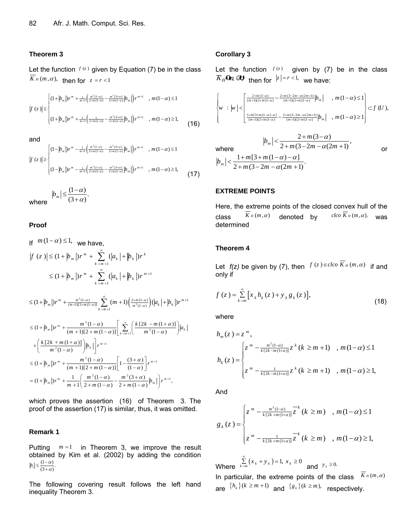#### **Theorem 3**

Let the function  $f(z)$  given by Equation (7) be in the class  $\overline{K}_H(m, \alpha)$ , then for  $z = r < 1$ 

$$
|f(z)| \leq \begin{cases} (1 + |b_m|)r^m + \frac{1}{m+1} \left( \frac{m^2(1-\alpha)}{2+m(1-\alpha)} - \frac{m^2(3+\alpha)}{2+m(1-\alpha)} |b_m| \right) r^{m+1} & , m(1-\alpha) \leq 1 \\ & \\ (1 + |b_m|)r^m + \frac{1}{m+1} \left( \frac{1}{2+m(1-\alpha)} - \frac{m^2(3+\alpha)}{2+m(1-\alpha)} |b_m| \right) r^{m+1} & , m(1-\alpha) \geq 1, \end{cases}
$$
(16)

and

$$
|f(z)| \geq \begin{cases} (1-|b_m|)r^m - \frac{1}{m+1} \left( \frac{m^2(1-\alpha)}{2+m(1-\alpha)} - \frac{m^2(3+\alpha)}{2+m(1-\alpha)} |b_m| \right) r^{m+1} & , m(1-\alpha) \leq 1 \\ & \\ (1-|b_m|)r^m - \frac{1}{m+1} \left( \frac{m^2(1-\alpha)}{2+m(1-\alpha)} - \frac{m^2(3+\alpha)}{2+m(1-\alpha)} |b_m| \right) r^{m+1} & , m(1-\alpha) \geq 1, \end{cases}
$$
(17)

where  $|b_m| \leq \frac{(1-\alpha)}{(3+\alpha)}$ .  $+\alpha)$ 

## **Proof**

If  $m(1-\alpha) \leq 1$ , we have. 1 1 1  $(z)| \leq (1+|b_m|)r^m + \sum_{k=m+1} (|a_k|+|b_k|)r^k$  $(1+|b_m|)r^m + \sum_{k=m+1}^{\infty} (|a_k|+|b_k|)r^m$  $f(z) \le (1 + |b_m|) r^m + \sum_{k=0}^{\infty} (|a_k| + |b_k|) r^k$  $b_m$  |) $r^m$  +  $\sum_{k=1}^{\infty}$  (|a<sub>k</sub> | + |b<sub>k</sub> |) $r^{m+1}$  $=$ m +  $=$ m +  $\leq (1 + |b_m|)r^m + \sum (|a_k| +$  $\leq (1 + |b_m|)r^m + \sum (|a_k| +$ 

$$
\leq (1+|b_m|)r^m + \frac{m^2(1-\alpha)}{(m+1)[2+m(1-\alpha)]}\sum_{k=m+1}^{\infty} (m+1)\bigg(\frac{2+m(1-\alpha)}{m^2(1-\alpha)}\bigg)(|a_k|+|b_k|)r^{m+1}
$$

$$
\leq (1+|b_m|)r^m + \frac{m^2(1-\alpha)}{(m+1)[2+m(1-\alpha)]} \Bigg[ \sum_{k=m+1}^{\infty} \Bigg( \frac{k[2k-m(1+\alpha)]}{m^2(1-\alpha)} \Bigg) |a_k|
$$
  
+ 
$$
\Bigg( \frac{k[2k+m(1+\alpha)]}{m^2(1-\alpha)} \Bigg) |b_k| \Bigg] r^{m+1}
$$
  

$$
\leq (1+|b_m|)r^m + \frac{m^2(1-\alpha)}{(m+1)[2+m(1-\alpha)]} \Bigg[ 1 - \frac{(3+\alpha)}{(1-\alpha)} \Bigg] r^{m+1}
$$
  
= 
$$
(1+|b_m|)r^m + \frac{1}{m+1} \Bigg( \frac{m^2(1-\alpha)}{2+m(1-\alpha)} - \frac{m^2(3+\alpha)}{2+m(1-\alpha)} |b_m| \Bigg) r^{m+1},
$$

which proves the assertion (16) of Theorem 3. The proof of the assertion (17) is similar, thus, it was omitted.

# **Remark 1**

Putting  $m = 1$  in Theorem 3, we improve the result obtained by Kim et al. (2002) by adding the condition  $|b_1| \leq \frac{(1-\alpha)}{(3+\alpha)}$ .

The following covering result follows the left hand inequality Theorem 3.

#### **Corollary 3**

Let the function  $f(z)$  given by (7) be in the class  $\overline{K}_H$ **O**<sub>n</sub>, **2)** then for  $|z| = r < 1$ , we have:

$$
\begin{cases}\n\left| w \right| < \left| \frac{\frac{2+m(3-\alpha)}{(m+1)(2+m(1-\alpha)} - \frac{2+m(3-2m-\alpha(2m+1)}{(m+1)(2+m(1-\alpha))}} |b_m| \right|, m(1-\alpha) \le 1 \right| \\
\frac{\frac{1+m(3+m(1-\alpha)-\alpha)}{(m+1)(2+m(1-\alpha)} - \frac{2+m(3-2m-\alpha(2m+1)}{(m+1)(2+m(1-\alpha))}} |b_m|, m(1-\alpha) \ge 1 \right| < f(U),\n\end{cases}
$$

where  
\n
$$
|b_m| < \frac{2 + m(3 - \alpha)}{2 + m(3 - 2m - \alpha(2m + 1))}
$$
\nor  
\n
$$
|b_m| < \frac{1 + m[3 + m(1 - \alpha) - \alpha]}{2 + m(3 - 2m - \alpha(2m + 1))}
$$

#### **EXTREME POINTS**

Here, the extreme points of the closed convex hull of the class  $\overline{K}_H(m,\alpha)$  denoted by  $c\nvert c \circ \overline{K}_H(m,\alpha)$ . was determined

#### **Theorem 4**

Let *f(z)* be given by (7), then  $f(z) \in clco \overline{K}_H(m, \alpha)$  if and only if

$$
f(z) = \sum_{k=m}^{\infty} [x_k h_k(z) + y_k g_k(z)],
$$
\n(18)

where

$$
h_m(z) = z^m,
$$
  
\n
$$
h_k(z) = \begin{cases} z^m - \frac{m^2(1-\alpha)}{k[2k-m(1+\alpha)]} z^k (k \ge m+1) & , m(1-\alpha) \le 1 \\ z^m - \frac{1}{k[2k-m(1+\alpha)]} z^k (k \ge m+1) & , m(1-\alpha) \ge 1, \end{cases}
$$

And

$$
g_{k}(z) = \begin{cases} z^{m} - \frac{m^{2}(1-\alpha)}{k(2k+m(1+\alpha))} \overline{z}^{k} (k \geq m) & , \ m(1-\alpha) \leq 1 \\ \\ z^{m} - \frac{1}{k(2k+m(1+\alpha))} \overline{z}^{k} (k \geq m) & , \ m(1-\alpha) \geq 1, \end{cases}
$$

Where  $\sum_{k=m}^{\infty} (x_k + y_k) = 1, x_k \ge 0$  and  $y_k \ge 0$ .

In particular, the extreme points of the class  $\overline{K}_H(m,\alpha)$ are  $\{h_k\}(k \ge m+1)$  and  $\{g_k\}(k \ge m)$ , respectively.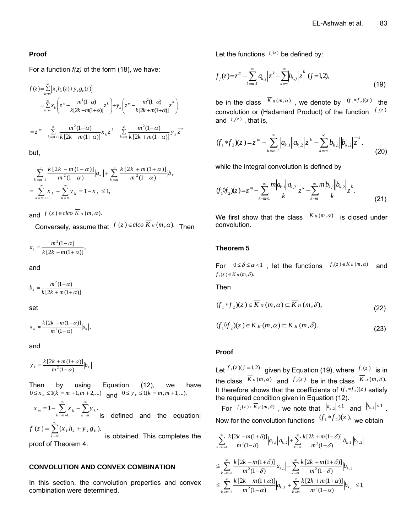# **Proof**

For a function *f(z)* of the form (18), we have:

$$
f(z) = \sum_{k=m}^{\infty} \left[ x_k h_k(z) + y_k g_k(z) \right]
$$
  
\n
$$
= \sum_{k=m}^{\infty} x_k \left( z^m \frac{m^2 (1-\alpha)}{k[2k-m(1+\alpha)]} z^k \right) + y_k \left( z^m \frac{m^2 (1-\alpha)}{k[2k+m(1+\alpha)]} z^k \right)
$$
  
\n
$$
= z^m - \sum_{k=m+1}^{\infty} \frac{m^2 (1-\alpha)}{k[2k-m(1+\alpha)]} x_k z^k - \sum_{k=m}^{\infty} \frac{m^2 (1-\alpha)}{k[2k+m(1+\alpha)]} y_k \overline{z}^k
$$

but,

$$
\sum_{k=m+1}^{\infty} \frac{k \left[2k - m\left(1 + \alpha\right)\right]}{m^2 \left(1 - \alpha\right)} \Big| a_k \Big| + \sum_{k=m}^{\infty} \frac{k \left[2k + m\left(1 + \alpha\right)\right]}{m^2 \left(1 - \alpha\right)} \Big| b_k \Big|
$$
  
= 
$$
\sum_{k=m+1}^{\infty} x_k + \sum_{k=m}^{\infty} y_k = 1 - x_k \le 1,
$$

and  $f(z) \in clco \overline{K}_H(m, \alpha)$ .

Conversely, assume that  $f(z) \in clco \overline{K}_H(m, \alpha)$ . Then

$$
a_k = \frac{m^2(1-\alpha)}{k[2k-m(1+\alpha)]},
$$

and

$$
b_k = \frac{m^2(1-\alpha)}{k[2k+m(1+\alpha)]}
$$

set

 $x_k = \frac{k[2k-m(1+\alpha)]}{m^2(1-\alpha)} |a_k|,$  $=\frac{k\left[2k-m\left(1+\right.\right.}{m^2\left(1-\alpha\right)}$ 

and

 $\frac{[2k+m(1+\alpha)]}{m^2(1-\alpha)}$  $y_k = \frac{k[2k + m(1+\alpha)]}{m^2(1-\alpha)} b_k$  $=\frac{k\left[2k+m\left(1+\right.\right.}{m^2\left(1-\alpha\right)}$ 

Then by using Equation (12), we have  $0 \le x_k \le 1(k = m + 1, m + 2,...)$  and  $0 \le y_k \le 1(k = m, m + 1,...).$ 

$$
x_m = 1 - \sum_{k=m+1}^{\infty} x_k - \sum_{k=m}^{\infty} y_k
$$
 is defined and the equation:  

$$
f(z) = \sum_{k=m}^{\infty} (x_k h_k + y_k g_k).
$$
 is obtained. This completes the proof of Theorem 4.

#### **CONVOLUTION AND CONVEX COMBINATION**

In this section, the convolution properties and convex combination were determined.

Let the functions  $f_j(z)$  be defined by:

$$
f_j(z) = z^m - \sum_{k=m+1}^{\infty} \left| a_{k,j} \right| z^k - \sum_{k=m}^{\infty} \left| b_{k,j} \right| z^k \quad (j = 1, 2), \tag{19}
$$

be in the class  $\overline{K}_H(m,\alpha)$ , we denote by  $(f_1 * f_2)(z)$  the convolution or (Hadamard Product) of the function  $f_1(z)$ and  $f_2(z)$ , that is,

$$
(f_1 * f_2)(z) = z^m - \sum_{k=m+1}^{\infty} |a_{k,1}| |a_{k,2}| z^k - \sum_{k=m}^{\infty} |b_{k,1}| |b_{k,2}| \overline{z}^k.
$$
 (20)

while the integral convolution is defined by

$$
(f_1 \mathcal{F}_2)(z) = z^m - \sum_{k=m+1}^{\infty} \frac{m |a_{k,1}| |a_{k,2}|}{k} z^k - \sum_{k=m}^{\infty} \frac{m |b_{k,1}| |b_{k,2}|}{k} z^k.
$$
 (21)

We first show that the class  $\overline{K}_H(m,\alpha)$  is closed under convolution.

## **Theorem 5**

For  $0 \le \delta \le \alpha < 1$ , let the functions  $f_1(z) \in \overline{K}_H(m, \alpha)$  and  $f_2(z) \in \overline{K}_H(m, \delta).$ 

Then

$$
(f_1 * f_2)(z) \in \overline{K}_H(m, \alpha) \subset \overline{K}_H(m, \delta),
$$
\n(22)

$$
(f_1 \hat{\vee} f_2)(z) \in \overline{K}_H(m, \alpha) \subset \overline{K}_H(m, \delta).
$$
 (23)

#### **Proof**

Let  $f_j(z)(j = 1,2)$  given by Equation (19), where  $f_j(z)$  is in the class  $\overline{K}_H(m,\alpha)$  and  $f_2(z)$  be in the class  $\overline{K}_H(m,\delta)$ . It therefore shows that the coefficients of  $(f_1 * f_2)(z)$  satisfy the required condition given in Equation (12).

For 
$$
f_2(z) \in \overline{K}_H(m, \delta)
$$
, we note that  $|a_{k,2}| < 1$  and  $|b_{k,2}| < 1$ .  
Now for the convolution functions  $(f_1 * f_2)(z)$ , we obtain

$$
\sum_{k=m+1}^{\infty} \frac{k[2k-m(1+\delta)]}{m^2(1-\delta)} |a_{k,1}||a_{k,2}| + \sum_{k=m}^{\infty} \frac{k[2k+m(1+\delta)]}{m^2(1-\delta)} |b_{k,1}||b_{k,2}|
$$
  

$$
\leq \sum_{k=m+1}^{\infty} \frac{k[2k-m(1+\delta)]}{m^2(1-\delta)} |a_{k,1}| + \sum_{k=m}^{\infty} \frac{k[2k+m(1+\delta)]}{m^2(1-\delta)} |b_{k,1}|
$$
  

$$
\leq \sum_{k=m+1}^{\infty} \frac{k[2k-m(1+\alpha)]}{m^2(1-\alpha)} |a_{k,1}| + \sum_{k=m}^{\infty} \frac{k[2k+m(1+\alpha)]}{m^2(1-\alpha)} |b_{k,1}| \leq 1,
$$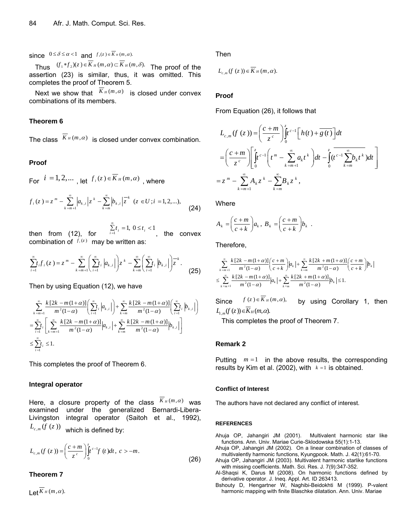since  $0 \le \delta \le \alpha < 1$  and  $f_1(z) \in \overline{K}_H(m, \alpha)$ .

Thus  $(f_1 * f_2)(z) \in \overline{K}_H(m, \alpha) \subset \overline{K}_H(m, \delta)$ . The proof of the assertion (23) is similar, thus, it was omitted. This completes the proof of Theorem 5.

Next we show that  $\overline{K}_H(m,\alpha)$  is closed under convex combinations of its members.

#### **Theorem 6**

The class  $\overline{K}_H(m,\alpha)$  is closed under convex combination.

#### **Proof**

For  $i = 1, 2, ...$ , let  $f_i(z) \in \overline{K}_H(m, \alpha)$ , where

$$
f_i(z) = z^m - \sum_{k=m+1}^{\infty} \left| a_{k,i} \left| z^k - \sum_{k=m}^{\infty} \left| b_{k,i} \right| z^k \right| (z \in U; i = 1, 2, \ldots), \tag{24}
$$

then from  $(12)$ , for  $\sum_{i=1}^{\infty} t_i = 1, 0 \le t_i < 1$  $\sum_{i=1} t_i = 1, 0 \le t_i$ , the convex combination of  $f_i(z)$  may be written as:

$$
\sum_{i=1}^{\infty} t_i f_i(z) = z^m - \sum_{k=m+1}^{\infty} \left( \sum_{i=1}^{\infty} t_i \left| a_{k,i} \right| \right) z^k - \sum_{k=m}^{\infty} \left( \sum_{i=1}^{\infty} t_i \left| b_{k,i} \right| \right) z^k.
$$
 (25)

Then by using Equation (12), we have

$$
\sum_{k=m+1}^{\infty} \frac{k[2k-m(1+\alpha)]}{m^2(1-\alpha)} \left( \sum_{i=1}^{\infty} t_i |a_{k,i}| \right) + \sum_{k=m}^{\infty} \frac{k[2k-m(1+\alpha)]}{m^2(1-\alpha)} \left( \sum_{i=1}^{\infty} t_i |b_{k,i}| \right)
$$
  
= 
$$
\sum_{i=1}^{\infty} t_i \left[ \sum_{k=m+1}^{\infty} \frac{k[2k-m(1+\alpha)]}{m^2(1-\alpha)} |a_{k,i}| + \sum_{k=m}^{\infty} \frac{k[2k-m(1+\alpha)]}{m^2(1-\alpha)} |b_{k,i}| \right]
$$
  

$$
\leq \sum_{i=1}^{\infty} t_i \leq 1.
$$

This completes the proof of Theorem 6.

#### **Integral operator**

Here, a closure property of the class  $K_H(m,\alpha)$  was examined under the generalized Bernardi-Libera-Livingston integral operator (Saitoh et al., 1992),  $L_{c,m}(f(z))$  which is defined by:

$$
L_{c,m}(f(z)) = \left(\frac{c+m}{z^c}\right) \int_0^z t^{c-1} f(t) dt, \ c > -m.
$$
 (26)

#### **Theorem 7**

 $L$ et  $\overline{K}_H(m,\alpha)$ .

Then

$$
L_{c,m}(f(z))\in \overline{K}_H(m,\alpha).
$$

# **Proof**

From Equation (26), it follows that

$$
L_{c,m}(f(z)) = \left(\frac{c+m}{z^c}\right) \int_0^z t^{c-1} \left[h(t) + \overline{g(t)}\right] dt
$$
  
\n
$$
= \left(\frac{c+m}{z^c}\right) \left[\int_0^z t^{c-1} \left(t^m - \sum_{k=m+1}^\infty a_k t^k\right) dt - \int_0^z (t^{c-1} \sum_{k=m}^\infty b_k t^k) dt\right]
$$
  
\n
$$
= z^m - \sum_{k=m+1}^\infty A_k z^k - \sum_{k=m}^\infty B_k z^k,
$$

**Where** 

$$
A_k = \left(\frac{c+m}{c+k}\right) a_k, B_k = \left(\frac{c+m}{c+k}\right) b_k.
$$

Therefore,

$$
\sum_{k=m+1}^{\infty} \frac{k\left[2k-m(1+\alpha)\right]}{m^2(1-\alpha)} \left(\frac{c+m}{c+k}\right) \Big|a_k\Big| + \sum_{k=m}^{\infty} \frac{k\left[2k+m(1+\alpha)\right]}{m^2(1-\alpha)} \left(\frac{c+m}{c+k}\right) \Big|b_k\Big|
$$
  

$$
\leq \sum_{k=m+1}^{\infty} \frac{k\left[2k-m(1+\alpha)\right]}{m^2(1-\alpha)} \Big|a_k\Big| + \sum_{k=m}^{\infty} \frac{k\left[2k+m(1+\alpha)\right]}{m^2(1-\alpha)} \Big|b_k\Big| \leq 1.
$$

Since  $f(z) \in \overline{K}_H(m, \alpha)$ , by using Corollary 1, then  $L_{\varepsilon, m}(f(z)) \in \overline{K}_H(m, \alpha)$ .<br>This completes the proof of Theorem 7.

#### **Remark 2**

Putting  $m = 1$  in the above results, the corresponding results by Kim et al. (2002), with  $k = 1$  is obtained.

#### **Conflict of Interest**

The authors have not declared any conflict of interest.

#### **REFERENCES**

Ahuja OP, Jahangiri JM (2001). Multivalent harmonic star like functions. Ann. Univ. Mariae Curie-Sklodowska 55(1):1-13.

- Ahuja OP, Jahangiri JM (2002). On a linear combination of classes of multivalently harmonic functions, Kyungpook. Math. J. 42(1):61-70. Ahuja OP, Jahangiri JM (2003). Multivalent harmonic starlike functions
- with missing coefficients. Math. Sci. Res. J. 7(9):347-352. Al-Shaqsi K, Darus M (2008). On harmonic functions defined by
- derivative operator. J. Ineq. Appl. Art. ID 263413.
- Bshouty D, Hengartner W, Naghibi-Beidokhti M (1999). P-valent harmonic mapping with finite Blaschke dilatation. Ann. Univ. Mariae